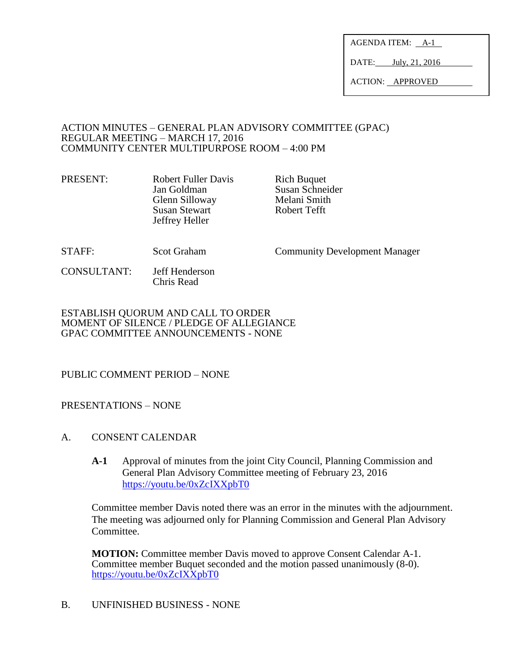AGENDA ITEM: A-1

DATE: July, 21, 2016

ACTION: APPROVED

#### ACTION MINUTES – GENERAL PLAN ADVISORY COMMITTEE (GPAC) REGULAR MEETING – MARCH 17, 2016 COMMUNITY CENTER MULTIPURPOSE ROOM – 4:00 PM

PRESENT: Robert Fuller Davis Rich Buquet Jan Goldman Susan Schneider<br>
Glenn Silloway Melani Smith Glenn Silloway **Melani Smith**<br>
Susan Stewart **Melani Smith**<br>
Robert Tefft Susan Stewart Jeffrey Heller

STAFF: Scot Graham Community Development Manager

CONSULTANT: Jeff Henderson Chris Read

ESTABLISH QUORUM AND CALL TO ORDER MOMENT OF SILENCE / PLEDGE OF ALLEGIANCE GPAC COMMITTEE ANNOUNCEMENTS - NONE

# PUBLIC COMMENT PERIOD – NONE

### PRESENTATIONS – NONE

- A. CONSENT CALENDAR
	- **A-1** Approval of minutes from the joint City Council, Planning Commission and General Plan Advisory Committee meeting of February 23, 2016 <https://youtu.be/0xZcIXXpbT0>

Committee member Davis noted there was an error in the minutes with the adjournment. The meeting was adjourned only for Planning Commission and General Plan Advisory Committee.

**MOTION:** Committee member Davis moved to approve Consent Calendar A-1. Committee member Buquet seconded and the motion passed unanimously (8-0). <https://youtu.be/0xZcIXXpbT0>

B. UNFINISHED BUSINESS - NONE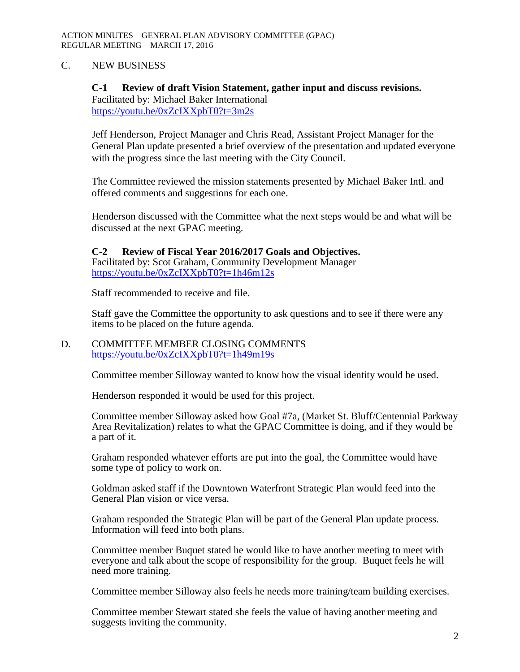## C. NEW BUSINESS

### **C-1 Review of draft Vision Statement, gather input and discuss revisions.**  Facilitated by: Michael Baker International

<https://youtu.be/0xZcIXXpbT0?t=3m2s>

Jeff Henderson, Project Manager and Chris Read, Assistant Project Manager for the General Plan update presented a brief overview of the presentation and updated everyone with the progress since the last meeting with the City Council.

The Committee reviewed the mission statements presented by Michael Baker Intl. and offered comments and suggestions for each one.

Henderson discussed with the Committee what the next steps would be and what will be discussed at the next GPAC meeting.

**C-2 Review of Fiscal Year 2016/2017 Goals and Objectives.** Facilitated by: Scot Graham, Community Development Manager <https://youtu.be/0xZcIXXpbT0?t=1h46m12s>

Staff recommended to receive and file.

Staff gave the Committee the opportunity to ask questions and to see if there were any items to be placed on the future agenda.

### D. COMMITTEE MEMBER CLOSING COMMENTS <https://youtu.be/0xZcIXXpbT0?t=1h49m19s>

Committee member Silloway wanted to know how the visual identity would be used.

Henderson responded it would be used for this project.

Committee member Silloway asked how Goal #7a, (Market St. Bluff/Centennial Parkway Area Revitalization) relates to what the GPAC Committee is doing, and if they would be a part of it.

Graham responded whatever efforts are put into the goal, the Committee would have some type of policy to work on.

Goldman asked staff if the Downtown Waterfront Strategic Plan would feed into the General Plan vision or vice versa.

Graham responded the Strategic Plan will be part of the General Plan update process. Information will feed into both plans.

Committee member Buquet stated he would like to have another meeting to meet with everyone and talk about the scope of responsibility for the group. Buquet feels he will need more training.

Committee member Silloway also feels he needs more training/team building exercises.

Committee member Stewart stated she feels the value of having another meeting and suggests inviting the community.